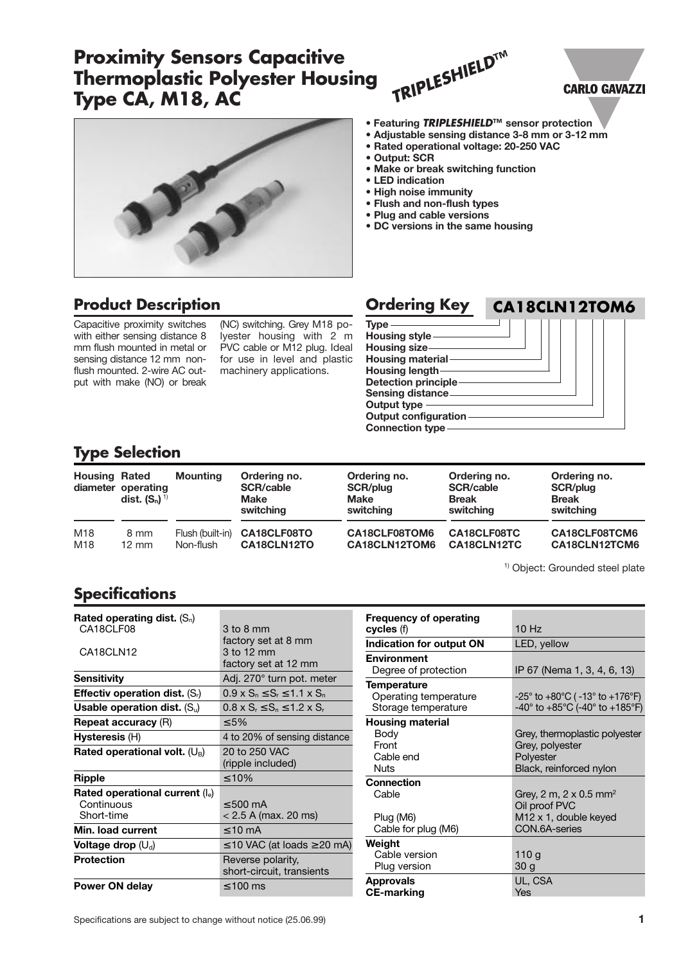# **Proximity Sensors Capacitive Thermoplastic Polyester Housing Type CA, M18, AC**



## **Product Description**

Capacitive proximity switches with either sensing distance 8 mm flush mounted in metal or sensing distance 12 mm nonflush mounted. 2-wire AC output with make (NO) or break

(NC) switching. Grey M18 polyester housing with 2 m PVC cable or M12 plug. Ideal for use in level and plastic machinery applications.

| <b>Ordering Key</b>                                                                                                                                                                                                           | CA18CLN12TOM6 |
|-------------------------------------------------------------------------------------------------------------------------------------------------------------------------------------------------------------------------------|---------------|
| <b>Type</b><br>Housing style<br>Housing size-<br><b>Housing material-</b><br>Housing length<br><b>Detection principle-</b><br><b>Sensing distance</b><br>Output type<br><b>Output configuration</b><br><b>Connection type</b> |               |

**• Featuring TRIPLESHIELD™ sensor protection • Adjustable sensing distance 3-8 mm or 3-12 mm**

**• Rated operational voltage: 20-250 VAC**

**• Make or break switching function**

**TRIPLESHIELD™**

**• DC versions in the same housing**

**• Output: SCR**

**• LED indication • High noise immunity • Flush and non-flush types • Plug and cable versions** 

#### **Type Selection**

| <b>Housing Rated</b> | diameter operating<br>dist. $(S_n)^{1}$ | <b>Mounting</b>  | Ordering no.<br><b>SCR/cable</b><br><b>Make</b><br>switching | Ordering no.<br>SCR/plug<br><b>Make</b><br>switching | Ordering no.<br><b>SCR/cable</b><br><b>Break</b><br>switching | Ordering no.<br>SCR/plug<br><b>Break</b><br>switching |
|----------------------|-----------------------------------------|------------------|--------------------------------------------------------------|------------------------------------------------------|---------------------------------------------------------------|-------------------------------------------------------|
| M18                  | 8 mm                                    | Flush (built-in) | CA18CLF08TO                                                  | CA18CLF08TOM6                                        | CA18CLF08TC                                                   | CA18CLF08TCM6                                         |
| M18                  | $12 \text{ mm}$                         | Non-flush        | CA18CLN12TO                                                  | CA18CLN12TOM6                                        | CA18CLN12TC                                                   | CA18CLN12TCM6                                         |

<sup>1)</sup> Object: Grounded steel plate

**CARLO GAVAZZI** 

## **Specifications**

| Rated operating dist. $(S_n)$           |                                               |
|-----------------------------------------|-----------------------------------------------|
| CA18CLF08                               | $3 \text{ to } 8 \text{ mm}$                  |
|                                         | factory set at 8 mm                           |
| CA18CLN12                               | 3 to 12 mm                                    |
|                                         | factory set at 12 mm                          |
| Sensitivity                             | Adj. 270° turn pot. meter                     |
| <b>Effectiv operation dist.</b> $(S_i)$ | $0.9 \times S_n \leq S_r \leq 1.1 \times S_n$ |
| Usable operation dist. $(S_n)$          | $0.8 \times S_r \le S_n \le 1.2 \times S_r$   |
| <b>Repeat accuracy (R)</b>              | $<$ 5%                                        |
| <b>Hysteresis (H)</b>                   | 4 to 20% of sensing distance                  |
| Rated operational volt. $(U_B)$         | 20 to 250 VAC                                 |
|                                         | (ripple included)                             |
| <b>Ripple</b>                           | $\leq 10\%$                                   |
| Rated operational current (le)          |                                               |
| Continuous                              | $< 500 \text{ mA}$                            |
| Short-time                              | $< 2.5$ A (max. 20 ms)                        |
| Min. load current                       | $\leq 10$ mA                                  |
| Voltage drop $(U_d)$                    | $\leq$ 10 VAC (at loads $\geq$ 20 mA)         |
| <b>Protection</b>                       | Reverse polarity,                             |
|                                         | short-circuit, transients                     |
| Power ON delay                          | $\leq 100$ ms                                 |

| <b>Frequency of operating</b><br>cycles (f)                        | 10 Hz                                                                                                   |
|--------------------------------------------------------------------|---------------------------------------------------------------------------------------------------------|
| Indication for output ON                                           | LED, yellow                                                                                             |
| <b>Environment</b>                                                 |                                                                                                         |
| Degree of protection                                               | IP 67 (Nema 1, 3, 4, 6, 13)                                                                             |
| <b>Temperature</b><br>Operating temperature<br>Storage temperature | $-25^{\circ}$ to $+80^{\circ}$ C ( $-13^{\circ}$ to $+176^{\circ}$ F)<br>-40° to +85°C (-40° to +185°F) |
| <b>Housing material</b><br>Body<br>Front<br>Cable end<br>Nuts      | Grey, thermoplastic polyester<br>Grey, polyester<br>Polyester<br>Black, reinforced nylon                |
| <b>Connection</b><br>Cable<br>Plug (M6)<br>Cable for plug (M6)     | Grey, 2 m, 2 x 0.5 mm <sup>2</sup><br>Oil proof PVC<br>M12 x 1, double keyed<br>CON.6A-series           |
| Weight<br>Cable version<br>Plug version                            | 110 g<br>30 g                                                                                           |
| <b>Approvals</b><br><b>CE-marking</b>                              | UL, CSA<br>Yes                                                                                          |